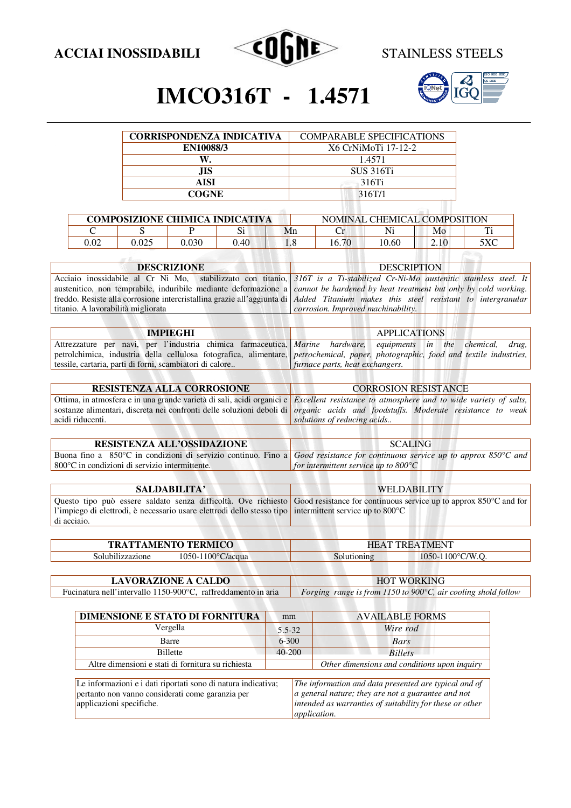

 $\Box$ 



## **IMCO316T - 1.4571**

| <b>CORRISPONDENZA INDICATIVA</b> | <b>COMPARABLE SPECIFICATIONS</b> |
|----------------------------------|----------------------------------|
| EN10088/3                        | X6 CrNiMoTi 17-12-2              |
|                                  | 1.4571                           |
| JIS                              | <b>SUS 316Ti</b>                 |
| AISI                             | 316Ti                            |
| <b>COGNE</b>                     | 316T/1                           |
|                                  |                                  |

| <b>COMPOSIZIONE CHIMICA INDICATIVA</b> |       |       |      |     | NOMINAL CHEMICAL COMPOSITION |       |      |              |
|----------------------------------------|-------|-------|------|-----|------------------------------|-------|------|--------------|
|                                        |       |       |      | Mn  |                              | Ni    | Mo   | m            |
| 0.02                                   | 0.025 | 030.ر | 0.40 | 1.0 | 16.70                        | 10.60 | 2.10 | $5 \sqrt{C}$ |

| <b>DESCRIZIONE</b>                                                                                                                        | <b>DESCRIPTION</b>                 |
|-------------------------------------------------------------------------------------------------------------------------------------------|------------------------------------|
| Acciaio inossidabile al Cr Ni Mo, stabilizzato con titanio, 316T is a Ti-stabilized Cr-Ni-Mo austenitic stainless steel. It               |                                    |
|                                                                                                                                           |                                    |
| freddo. Resiste alla corrosione intercristallina grazie all'aggiunta di <i>Added Titanium makes this steel resistant to intergranular</i> |                                    |
| titanio. A lavorabilità migliorata                                                                                                        | corrosion. Improved machinability. |
|                                                                                                                                           |                                    |
| austenitico, non temprabile, induribile mediante deformazione a <i>cannot be hardened by heat treatment but only by cold working</i> .    |                                    |

| IMPIEGHI                                                  | APPLICATIONS                                                                                                                            |
|-----------------------------------------------------------|-----------------------------------------------------------------------------------------------------------------------------------------|
|                                                           | Attrezzature per navi, per l'industria chimica farmaceutica, <i>Marine hardware</i> , <i>equipments in the chemical</i> , <i>drug</i> , |
|                                                           | petrolchimica, industria della cellulosa fotografica, alimentare, petrochemical, paper, photographic, food and textile industries,      |
| tessile, cartaria, parti di forni, scambiatori di calore. | <i>I furnace parts, heat exchangers.</i>                                                                                                |

| <b>RESISTENZA ALLA CORROSIONE</b> | <b>CORROSION RESISTANCE</b>                                                                                                             |  |  |  |
|-----------------------------------|-----------------------------------------------------------------------------------------------------------------------------------------|--|--|--|
|                                   |                                                                                                                                         |  |  |  |
|                                   | Ottima, in atmosfera e in una grande varietà di sali, acidi organici e Excellent resistance to atmosphere and to wide variety of salts, |  |  |  |
|                                   | sostanze alimentari, discreta nei confronti delle soluzioni deboli di <i>organic acids and foodstuffs. Moderate resistance to weak</i>  |  |  |  |
| acidi riducenti.                  | solutions of reducing acids                                                                                                             |  |  |  |
|                                   |                                                                                                                                         |  |  |  |

| <b>RESISTENZA ALL'OSSIDAZIONE</b>                                                                                           | <b>SCALING</b>                                 |
|-----------------------------------------------------------------------------------------------------------------------------|------------------------------------------------|
| Buona fino a 850°C in condizioni di servizio continuo. Fino a Good resistance for continuous service up to approx 850°C and |                                                |
| $\vert$ 800 $\degree$ C in condizioni di servizio intermittente.                                                            | for intermittent service up to $800^{\circ}$ C |

| SALDABILITA'                                                                                                                                                                                                                                           | <b>WELDABILITY</b> |
|--------------------------------------------------------------------------------------------------------------------------------------------------------------------------------------------------------------------------------------------------------|--------------------|
| Questo tipo può essere saldato senza difficoltà. Ove richiesto Good resistance for continuous service up to approx $850^{\circ}$ C and for<br>l'impiego di elettrodi, è necessario usare elettrodi dello stesso tipo intermittent service up to 800 °C |                    |
| di acciaio.                                                                                                                                                                                                                                            |                    |

| <b>ATTAMENTO TERMICO</b> |                         | <b>TREATMENT</b><br>HB<br>$\Lambda$ |                                        |  |
|--------------------------|-------------------------|-------------------------------------|----------------------------------------|--|
| Solubilizzazione         | -1100°C/acqua<br>1050-1 | Solutioning                         | $1050 - 1100$ °C/W.<br>$\cdot$ $\cdot$ |  |

**CONSTRUCTION CONTRACTOR** 

| <b>LAVORAZIONE A CALDO</b>                                     | <b>HOT WORKING</b>                                                      |  |  |
|----------------------------------------------------------------|-------------------------------------------------------------------------|--|--|
| Fucinatura nell'intervallo 1150-900 °C, raffreddamento in aria | Forging range is from 1150 to 900 $\degree$ C, air cooling shold follow |  |  |

| <b>AVAILABLE FORMS</b><br>mm                                  |          |                                                                                                                                                                         |
|---------------------------------------------------------------|----------|-------------------------------------------------------------------------------------------------------------------------------------------------------------------------|
|                                                               | Wire rod |                                                                                                                                                                         |
| $6 - 300$                                                     |          | Bars                                                                                                                                                                    |
| $40 - 200$<br><b>Billets</b>                                  |          |                                                                                                                                                                         |
|                                                               |          | Other dimensions and conditions upon inquiry                                                                                                                            |
| Le informazioni e i dati riportati sono di natura indicativa; |          | The information and data presented are typical and of<br>a general nature; they are not a guarantee and not<br>intended as warranties of suitability for these or other |
|                                                               |          | 5.5-32<br>application.                                                                                                                                                  |